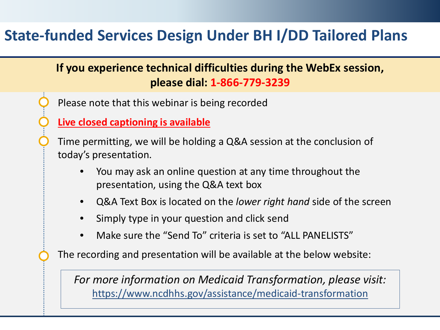#### **State-funded Services Design Under BH I/DD Tailored Plans**

# **If you experience technical difficulties during the WebEx session, please dial: 1-866-779-3239** Please note that this webinar is being recorded **Live closed captioning is available** Time permitting, we will be holding a Q&A session at the conclusion of today's presentation. • You may ask an online question at any time throughout the presentation, using the Q&A text box • Q&A Text Box is located on the *lower right hand* side of the screen

- Simply type in your question and click send
- Make sure the "Send To" criteria is set to "ALL PANELISTS"

The recording and presentation will be available at the below website:

*For more information on Medicaid Transformation, please visit:* https://www.ncdhhs.gov/assistance/medicaid-transformation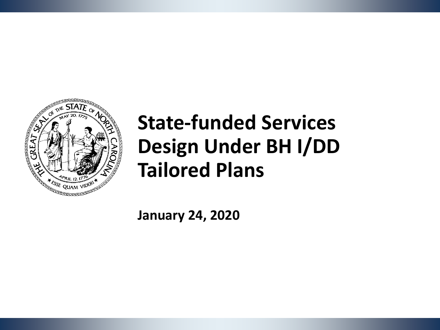

# **State-funded Services Design Under BH I/DD Tailored Plans**

**January 24, 2020**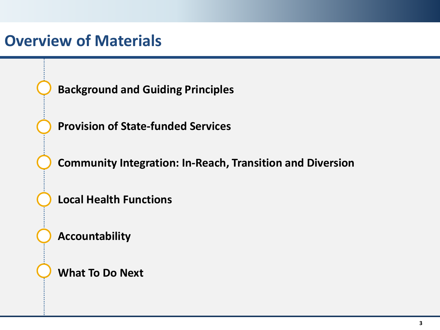#### **Overview of Materials**

**Background and Guiding Principles**

**Provision of State-funded Services** 

**Community Integration: In-Reach, Transition and Diversion**

**Local Health Functions**

**Accountability**

**What To Do Next**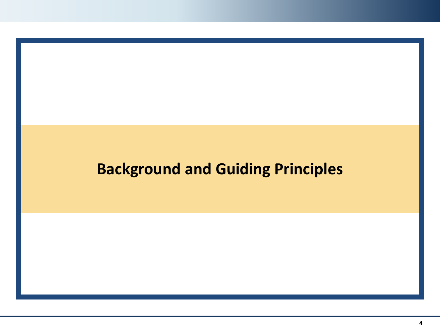### **Background and Guiding Principles**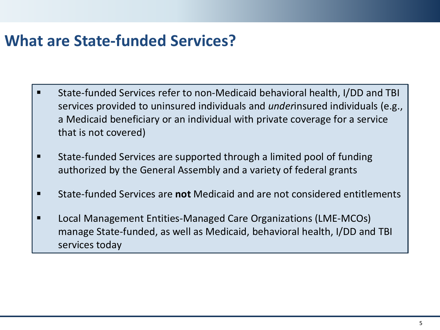#### **What are State-funded Services?**

- State-funded Services refer to non-Medicaid behavioral health, I/DD and TBI services provided to uninsured individuals and *under*insured individuals (e.g., a Medicaid beneficiary or an individual with private coverage for a service that is not covered)
- **State-funded Services are supported through a limited pool of funding** authorized by the General Assembly and a variety of federal grants
- State-funded Services are **not** Medicaid and are not considered entitlements
- Local Management Entities-Managed Care Organizations (LME-MCOs) manage State-funded, as well as Medicaid, behavioral health, I/DD and TBI services today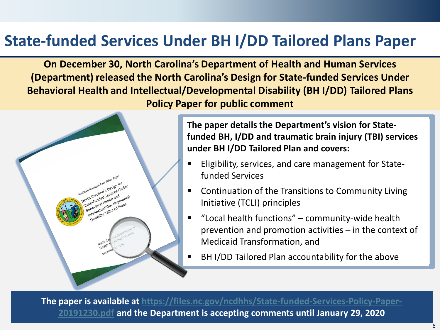### **State-funded Services Under BH I/DD Tailored Plans Paper**

**On December 30, North Carolina's Department of Health and Human Services (Department) released the North Carolina's Design for State-funded Services Under Behavioral Health and Intellectual/Developmental Disability (BH I/DD) Tailored Plans Policy Paper for public comment**



**The paper details the Department's vision for Statefunded BH, I/DD and traumatic brain injury (TBI) services under BH I/DD Tailored Plan and covers:**

- Eligibility, services, and care management for Statefunded Services
- Continuation of the Transitions to Community Living Initiative (TCLI) principles
- "Local health functions" community-wide health prevention and promotion activities – in the context of Medicaid Transformation, and
- BH I/DD Tailored Plan accountability for the above

**The [paper is available at https://files.nc.gov/ncdhhs/State-funded-Services-Policy-Paper-](https://files.nc.gov/ncdhhs/State-funded-Services-Policy-Paper-20191230.pdf)20191230.pdf and the Department is accepting comments until January 29, 2020**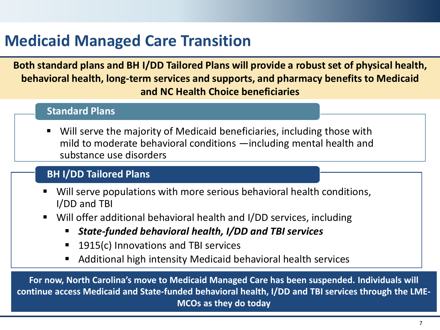# **Medicaid Managed Care Transition**

**Both standard plans and BH I/DD Tailored Plans will provide a robust set of physical health, behavioral health, long-term services and supports, and pharmacy benefits to Medicaid and NC Health Choice beneficiaries**

#### **Standard Plans**

 Will serve the majority of Medicaid beneficiaries, including those with mild to moderate behavioral conditions —including mental health and substance use disorders

#### **BH I/DD Tailored Plans**

- Will serve populations with more serious behavioral health conditions, I/DD and TBI
- Will offer additional behavioral health and I/DD services, including
	- *State-funded behavioral health, I/DD and TBI services*
	- 1915(c) Innovations and TBI services
	- Additional high intensity Medicaid behavioral health services

**For now, North Carolina's move to Medicaid Managed Care has been suspended. Individuals will continue access Medicaid and State-funded behavioral health, I/DD and TBI services through the LME-MCOs as they do today**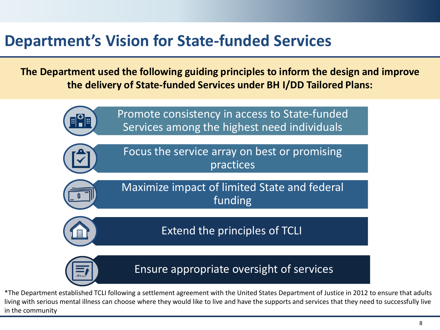#### **Department's Vision for State-funded Services**

**The Department used the following guiding principles to inform the design and improve the delivery of State-funded Services under BH I/DD Tailored Plans:**



\*The Department established TCLI following a settlement agreement with the United States Department of Justice in 2012 to ensure that adults living with serious mental illness can choose where they would like to live and have the supports and services that they need to successfully live in the community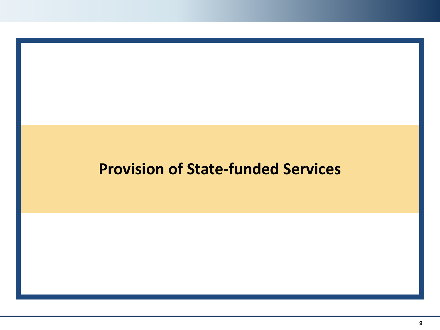#### **Provision of State-funded Services**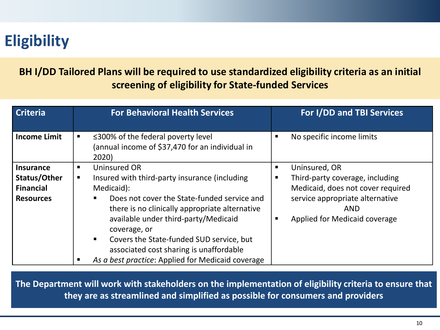# **Eligibility**

**BH I/DD Tailored Plans will be required to use standardized eligibility criteria as an initial screening of eligibility for State-funded Services**

| <b>Criteria</b>                                                          | <b>For Behavioral Health Services</b>                                                                                                                                                                                                                                                                                                                   | For I/DD and TBI Services                                                                                                                                                    |
|--------------------------------------------------------------------------|---------------------------------------------------------------------------------------------------------------------------------------------------------------------------------------------------------------------------------------------------------------------------------------------------------------------------------------------------------|------------------------------------------------------------------------------------------------------------------------------------------------------------------------------|
| <b>Income Limit</b>                                                      | $\leq$ 300% of the federal poverty level<br>٠<br>(annual income of \$37,470 for an individual in<br>2020)                                                                                                                                                                                                                                               | No specific income limits<br>п                                                                                                                                               |
| <b>Insurance</b><br>Status/Other<br><b>Financial</b><br><b>Resources</b> | Uninsured OR<br>٠<br>Insured with third-party insurance (including<br>ш<br>Medicaid):<br>Does not cover the State-funded service and<br>there is no clinically appropriate alternative<br>available under third-party/Medicaid<br>coverage, or<br>Covers the State-funded SUD service, but<br>$\blacksquare$<br>associated cost sharing is unaffordable | Uninsured, OR<br>Third-party coverage, including<br>п<br>Medicaid, does not cover required<br>service appropriate alternative<br><b>AND</b><br>Applied for Medicaid coverage |
|                                                                          | As a best practice: Applied for Medicaid coverage                                                                                                                                                                                                                                                                                                       |                                                                                                                                                                              |

**The Department will work with stakeholders on the implementation of eligibility criteria to ensure that they are as streamlined and simplified as possible for consumers and providers**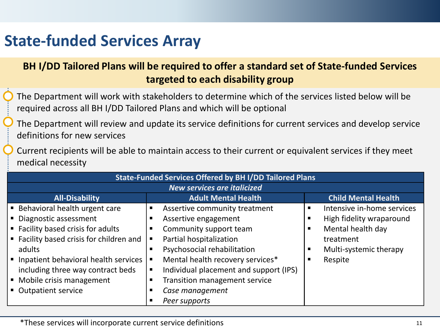### **State-funded Services Array**

#### **BH I/DD Tailored Plans will be required to offer a standard set of State-funded Services targeted to each disability group**

- The Department will work with stakeholders to determine which of the services listed below will be required across all BH I/DD Tailored Plans and which will be optional
- The Department will review and update its service definitions for current services and develop service definitions for new services
- Current recipients will be able to maintain access to their current or equivalent services if they meet medical necessity

| <b>State-Funded Services Offered by BH I/DD Tailored Plans</b> |                                             |                            |  |
|----------------------------------------------------------------|---------------------------------------------|----------------------------|--|
| <b>New services are italicized</b>                             |                                             |                            |  |
| <b>All-Disability</b>                                          | <b>Adult Mental Health</b>                  | <b>Child Mental Health</b> |  |
| <b>Behavioral health urgent care</b>                           | Assertive community treatment<br>п          | Intensive in-home services |  |
| • Diagnostic assessment                                        | Assertive engagement                        | High fidelity wraparound   |  |
| ■ Facility based crisis for adults                             | Community support team<br>п                 | Mental health day          |  |
| ■ Facility based crisis for children and                       | Partial hospitalization                     | treatment                  |  |
| adults                                                         | Psychosocial rehabilitation<br>п            | Multi-systemic therapy     |  |
| ■ Inpatient behavioral health services                         | Mental health recovery services*            | Respite                    |  |
| including three way contract beds                              | Individual placement and support (IPS)<br>п |                            |  |
| • Mobile crisis management                                     | Transition management service               |                            |  |
| • Outpatient service                                           | Case management                             |                            |  |
|                                                                | Peer supports                               |                            |  |

\*These services will incorporate current service definitions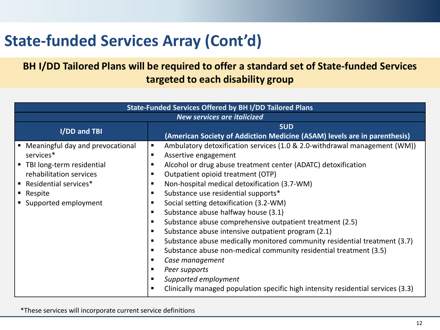# **State-funded Services Array (Cont'd)**

#### **BH I/DD Tailored Plans will be required to offer a standard set of State-funded Services targeted to each disability group**

| <b>State-Funded Services Offered by BH I/DD Tailored Plans</b>                                                                                                            |                                                                                                                                                                                                                                                                                                                                                                                                                                                                                                                                                                                                                                                                                                                                                                                                               |  |  |  |
|---------------------------------------------------------------------------------------------------------------------------------------------------------------------------|---------------------------------------------------------------------------------------------------------------------------------------------------------------------------------------------------------------------------------------------------------------------------------------------------------------------------------------------------------------------------------------------------------------------------------------------------------------------------------------------------------------------------------------------------------------------------------------------------------------------------------------------------------------------------------------------------------------------------------------------------------------------------------------------------------------|--|--|--|
| <b>New services are italicized</b>                                                                                                                                        |                                                                                                                                                                                                                                                                                                                                                                                                                                                                                                                                                                                                                                                                                                                                                                                                               |  |  |  |
| I/DD and TBI                                                                                                                                                              | <b>SUD</b><br>(American Society of Addiction Medicine (ASAM) levels are in parenthesis)                                                                                                                                                                                                                                                                                                                                                                                                                                                                                                                                                                                                                                                                                                                       |  |  |  |
| Meaningful day and prevocational<br>services*<br>■ TBI long-term residential<br>rehabilitation services<br>■ Residential services*<br>- Respite<br>■ Supported employment | Ambulatory detoxification services (1.0 & 2.0-withdrawal management (WM))<br>п<br>Assertive engagement<br>п<br>Alcohol or drug abuse treatment center (ADATC) detoxification<br>Outpatient opioid treatment (OTP)<br>Non-hospital medical detoxification (3.7-WM)<br>Substance use residential supports*<br>Social setting detoxification (3.2-WM)<br>Substance abuse halfway house (3.1)<br>Substance abuse comprehensive outpatient treatment (2.5)<br>Substance abuse intensive outpatient program (2.1)<br>Substance abuse medically monitored community residential treatment (3.7)<br>Substance abuse non-medical community residential treatment (3.5)<br>Case management<br>Peer supports<br>Supported employment<br>Clinically managed population specific high intensity residential services (3.3) |  |  |  |

\*These services will incorporate current service definitions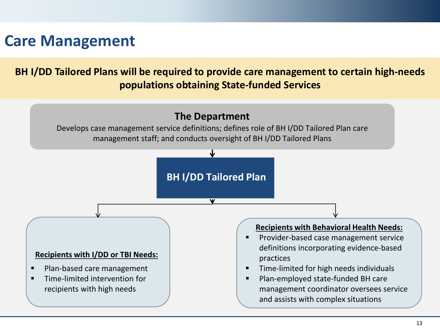#### **Care Management**

**BH I/DD Tailored Plans will be required to provide care management to certain high-needs populations obtaining State-funded Services**

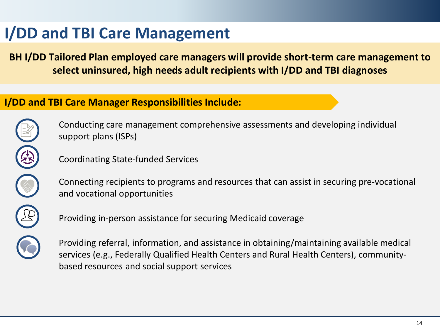# **I/DD and TBI Care Management**

**BH I/DD Tailored Plan employed care managers will provide short-term care management to select uninsured, high needs adult recipients with I/DD and TBI diagnoses**

#### **I/DD and TBI Care Manager Responsibilities Include:**



Conducting care management comprehensive assessments and developing individual support plans (ISPs)

Coordinating State-funded Services

Connecting recipients to programs and resources that can assist in securing pre-vocational and vocational opportunities

Providing in-person assistance for securing Medicaid coverage

Providing referral, information, and assistance in obtaining/maintaining available medical services (e.g., Federally Qualified Health Centers and Rural Health Centers), communitybased resources and social support services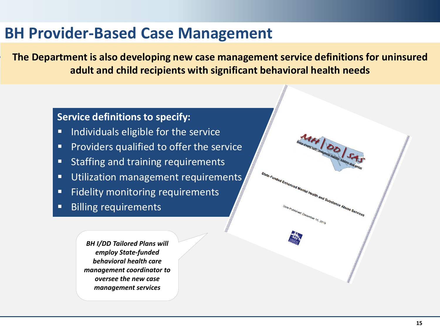#### **BH Provider-Based Case Management**

**The Department is also developing new case management service definitions for uninsured adult and child recipients with significant behavioral health needs**

#### **Service definitions to specify:**

- **IF Individuals eligible for the service**
- **Providers qualified to offer the service**
- **Staffing and training requirements**
- **Utilization management requirements**
- **Fidelity monitoring requirements**
- **Billing requirements**

*BH I/DD Tailored Plans will employ State-funded behavioral health care management coordinator to oversee the new case management services*

**AIH DD SAS** 

nd Substance Abuse Services

State-Funded Enhanced Mental Hea

<sup>ished: December 15, 2019</sub></sup>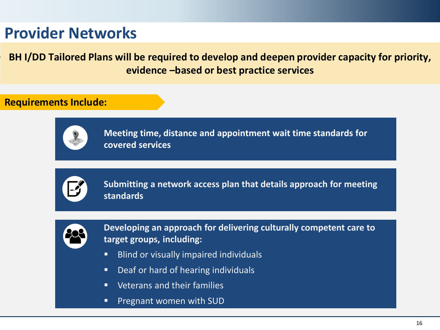### **Provider Networks**

**BH I/DD Tailored Plans will be required to develop and deepen provider capacity for priority, evidence –based or best practice services**

#### **Requirements Include:**



**Meeting time, distance and appointment wait time standards for covered services** 



**Submitting a network access plan that details approach for meeting standards**



**Developing an approach for delivering culturally competent care to target groups, including:**

- **Blind or visually impaired individuals**
- **Deaf or hard of hearing individuals**
- **URED** Veterans and their families
- **Pregnant women with SUD**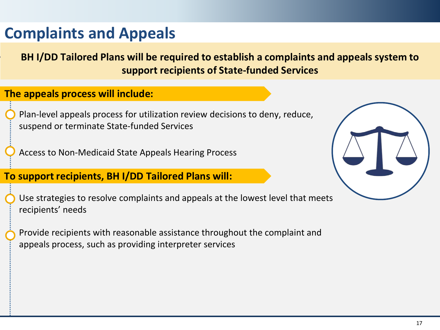### **Complaints and Appeals**

**BH I/DD Tailored Plans will be required to establish a complaints and appeals system to support recipients of State-funded Services**

#### **The appeals process will include:**

Plan-level appeals process for utilization review decisions to deny, reduce, suspend or terminate State-funded Services

Access to Non-Medicaid State Appeals Hearing Process

#### **To support recipients, BH I/DD Tailored Plans will:**

Use strategies to resolve complaints and appeals at the lowest level that meets recipients' needs

Provide recipients with reasonable assistance throughout the complaint and appeals process, such as providing interpreter services

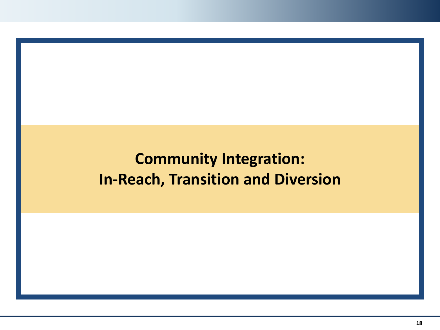# **Community Integration: In-Reach, Transition and Diversion**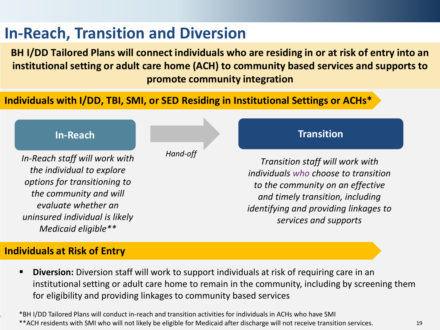### **In-Reach, Transition and Diversion**

**BH I/DD Tailored Plans will connect individuals who are residing in or at risk of entry into an institutional setting or adult care home (ACH) to community based services and supports to promote community integration** 

#### **Individuals with I/DD, TBI, SMI, or SED Residing in Institutional Settings or ACHs\***



**Diversion:** Diversion staff will work to support individuals at risk of requiring care in an institutional setting or adult care home to remain in the community, including by screening them for eligibility and providing linkages to community based services

\*BH I/DD Tailored Plans will conduct in-reach and transition activities for individuals in ACHs who have SMI \*\*ACH residents with SMI who will not likely be eligible for Medicaid after discharge will not receive transition services.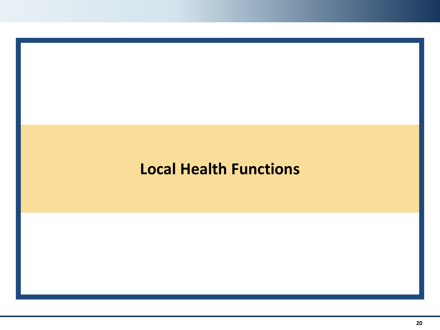#### **Local Health Functions**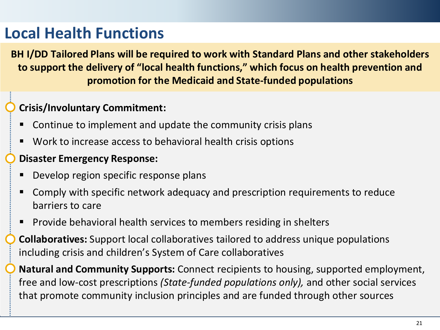# **Local Health Functions**

**BH I/DD Tailored Plans will be required to work with Standard Plans and other stakeholders to support the delivery of "local health functions," which focus on health prevention and promotion for the Medicaid and State-funded populations**

#### **Crisis/Involuntary Commitment:**

- Continue to implement and update the community crisis plans
- Work to increase access to behavioral health crisis options

#### **Disaster Emergency Response:**

- Develop region specific response plans
- Comply with specific network adequacy and prescription requirements to reduce barriers to care
- **Provide behavioral health services to members residing in shelters**

**Collaboratives:** Support local collaboratives tailored to address unique populations including crisis and children's System of Care collaboratives

**Natural and Community Supports:** Connect recipients to housing, supported employment, free and low-cost prescriptions *(State-funded populations only),* and other social services that promote community inclusion principles and are funded through other sources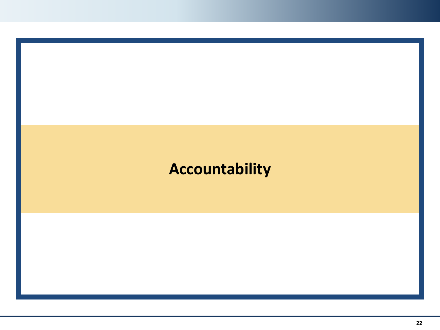### **Accountability**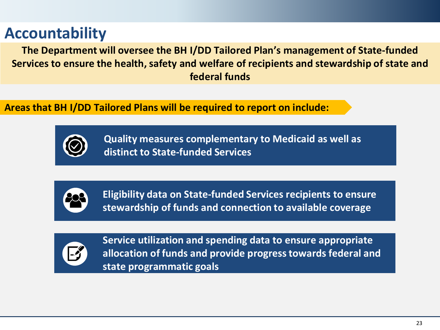### **Accountability**

**The Department will oversee the BH I/DD Tailored Plan's management of State-funded Services to ensure the health, safety and welfare of recipients and stewardship of state and federal funds**

**Areas that BH I/DD Tailored Plans will be required to report on include:**



**Quality measures complementary to Medicaid as well as distinct to State-funded Services**



**Eligibility data on State-funded Services recipients to ensure stewardship of funds and connection to available coverage**



**Service utilization and spending data to ensure appropriate allocation of funds and provide progress towards federal and state programmatic goals**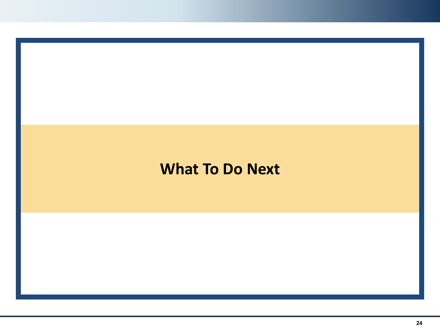#### **What To Do Next**